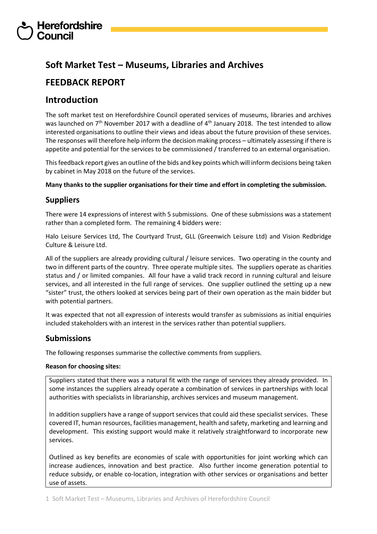## **Soft Market Test – Museums, Libraries and Archives**

## **FEEDBACK REPORT**

## **Introduction**

The soft market test on Herefordshire Council operated services of museums, libraries and archives was launched on 7<sup>th</sup> November 2017 with a deadline of 4<sup>th</sup> January 2018. The test intended to allow interested organisations to outline their views and ideas about the future provision of these services. The responses will therefore help inform the decision making process – ultimately assessing if there is appetite and potential for the services to be commissioned / transferred to an external organisation.

This feedback report gives an outline of the bids and key points which will inform decisions being taken by cabinet in May 2018 on the future of the services.

**Many thanks to the supplier organisations for their time and effort in completing the submission.**

## **Suppliers**

There were 14 expressions of interest with 5 submissions. One of these submissions was a statement rather than a completed form. The remaining 4 bidders were:

Halo Leisure Services Ltd, The Courtyard Trust, GLL (Greenwich Leisure Ltd) and Vision Redbridge Culture & Leisure Ltd.

All of the suppliers are already providing cultural / leisure services. Two operating in the county and two in different parts of the country. Three operate multiple sites. The suppliers operate as charities status and / or limited companies. All four have a valid track record in running cultural and leisure services, and all interested in the full range of services. One supplier outlined the setting up a new "sister" trust, the others looked at services being part of their own operation as the main bidder but with potential partners.

It was expected that not all expression of interests would transfer as submissions as initial enquiries included stakeholders with an interest in the services rather than potential suppliers.

## **Submissions**

The following responses summarise the collective comments from suppliers.

## **Reason for choosing sites:**

Suppliers stated that there was a natural fit with the range of services they already provided. In some instances the suppliers already operate a combination of services in partnerships with local authorities with specialists in librarianship, archives services and museum management.

In addition suppliers have a range of support services that could aid these specialist services. These covered IT, human resources, facilities management, health and safety, marketing and learning and development. This existing support would make it relatively straightforward to incorporate new services.

Outlined as key benefits are economies of scale with opportunities for joint working which can increase audiences, innovation and best practice. Also further income generation potential to reduce subsidy, or enable co-location, integration with other services or organisations and better use of assets.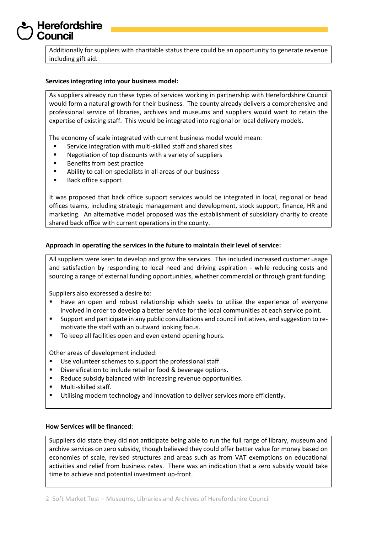Additionally for suppliers with charitable status there could be an opportunity to generate revenue including gift aid.

### **Services integrating into your business model:**

As suppliers already run these types of services working in partnership with Herefordshire Council would form a natural growth for their business. The county already delivers a comprehensive and professional service of libraries, archives and museums and suppliers would want to retain the expertise of existing staff. This would be integrated into regional or local delivery models.

The economy of scale integrated with current business model would mean:

- Service integration with multi-skilled staff and shared sites
- Negotiation of top discounts with a variety of suppliers
- **Benefits from best practice**
- Ability to call on specialists in all areas of our business
- Back office support

It was proposed that back office support services would be integrated in local, regional or head offices teams, including strategic management and development, stock support, finance, HR and marketing. An alternative model proposed was the establishment of subsidiary charity to create shared back office with current operations in the county.

### **Approach in operating the services in the future to maintain their level of service:**

All suppliers were keen to develop and grow the services. This included increased customer usage and satisfaction by responding to local need and driving aspiration - while reducing costs and sourcing a range of external funding opportunities, whether commercial or through grant funding.

Suppliers also expressed a desire to:

- Have an open and robust relationship which seeks to utilise the experience of everyone involved in order to develop a better service for the local communities at each service point.
- Support and participate in any public consultations and council initiatives, and suggestion to remotivate the staff with an outward looking focus.
- To keep all facilities open and even extend opening hours.

Other areas of development included:

- Use volunteer schemes to support the professional staff.
- **Diversification to include retail or food & beverage options.**
- Reduce subsidy balanced with increasing revenue opportunities.
- **Nulti-skilled staff.**
- Utilising modern technology and innovation to deliver services more efficiently.

### **How Services will be financed**:

Suppliers did state they did not anticipate being able to run the full range of library, museum and archive services on zero subsidy, though believed they could offer better value for money based on economies of scale, revised structures and areas such as from VAT exemptions on educational activities and relief from business rates. There was an indication that a zero subsidy would take time to achieve and potential investment up-front.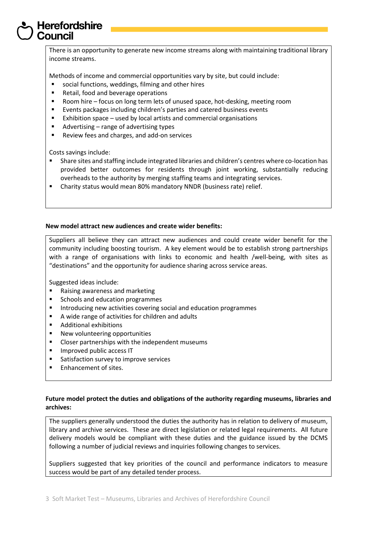There is an opportunity to generate new income streams along with maintaining traditional library income streams.

Methods of income and commercial opportunities vary by site, but could include:

- social functions, weddings, filming and other hires
- Retail, food and beverage operations
- Room hire focus on long term lets of unused space, hot-desking, meeting room
- Events packages including children's parties and catered business events
- **Exhibition space used by local artists and commercial organisations**
- Advertising range of advertising types
- Review fees and charges, and add-on services

Costs savings include:

- Share sites and staffing include integrated libraries and children's centres where co-location has provided better outcomes for residents through joint working, substantially reducing overheads to the authority by merging staffing teams and integrating services.
- Charity status would mean 80% mandatory NNDR (business rate) relief.

### **New model attract new audiences and create wider benefits:**

Suppliers all believe they can attract new audiences and could create wider benefit for the community including boosting tourism. A key element would be to establish strong partnerships with a range of organisations with links to economic and health /well-being, with sites as "destinations" and the opportunity for audience sharing across service areas.

Suggested ideas include:

- Raising awareness and marketing
- Schools and education programmes
- Introducing new activities covering social and education programmes
- A wide range of activities for children and adults
- Additional exhibitions
- **New volunteering opportunities**
- Closer partnerships with the independent museums
- **Improved public access IT**
- Satisfaction survey to improve services
- **Enhancement of sites.**

### **Future model protect the duties and obligations of the authority regarding museums, libraries and archives:**

The suppliers generally understood the duties the authority has in relation to delivery of museum, library and archive services. These are direct legislation or related legal requirements. All future delivery models would be compliant with these duties and the guidance issued by the DCMS following a number of judicial reviews and inquiries following changes to services.

Suppliers suggested that key priorities of the council and performance indicators to measure success would be part of any detailed tender process.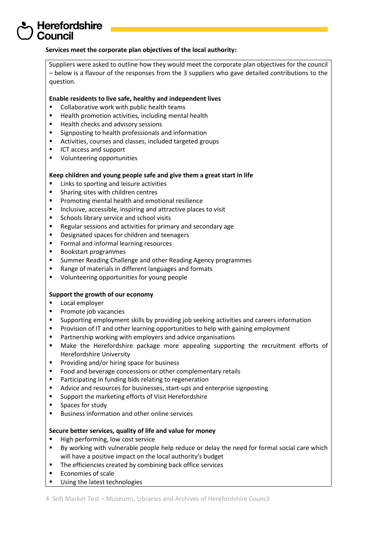### **Services meet the corporate plan objectives of the local authority:**

Suppliers were asked to outline how they would meet the corporate plan objectives for the council – below is a flavour of the responses from the 3 suppliers who gave detailed contributions to the question.

### **Enable residents to live safe, healthy and independent lives**

- Collaborative work with public health teams
- Health promotion activities, including mental health
- Health checks and advisory sessions
- **Signposting to health professionals and information**
- Activities, courses and classes, included targeted groups
- ICT access and support
- **•** Volunteering opportunities

### **Keep children and young people safe and give them a great start in life**

- Links to sporting and leisure activities
- **Sharing sites with children centres**
- **Promoting mental health and emotional resilience**
- **Inclusive, accessible, inspiring and attractive places to visit**
- **Schools library service and school visits**
- Regular sessions and activities for primary and secondary age
- Designated spaces for children and teenagers
- **Formal and informal learning resources**
- Bookstart programmes
- **EXECT** Summer Reading Challenge and other Reading Agency programmes
- Range of materials in different languages and formats
- **U** Volunteering opportunities for young people

### **Support the growth of our economy**

- **Local employer**
- **Promote job vacancies**
- Supporting employment skills by providing job seeking activities and careers information
- **Provision of IT and other learning opportunities to help with gaining employment**
- **Partnership working with employers and advice organisations**
- Make the Herefordshire package more appealing supporting the recruitment efforts of Herefordshire University
- **Providing and/or hiring space for business**
- Food and beverage concessions or other complementary retails
- Participating in funding bids relating to regeneration
- Advice and resources for businesses, start-ups and enterprise signposting
- **EXECUTE:** Support the marketing efforts of Visit Herefordshire
- **Spaces for study**
- **Business information and other online services**

### **Secure better services, quality of life and value for money**

- High performing, low cost service
- By working with vulnerable people help reduce or delay the need for formal social care which will have a positive impact on the local authority's budget
- **The efficiencies created by combining back office services**
- **Economies of scale**
- Using the latest technologies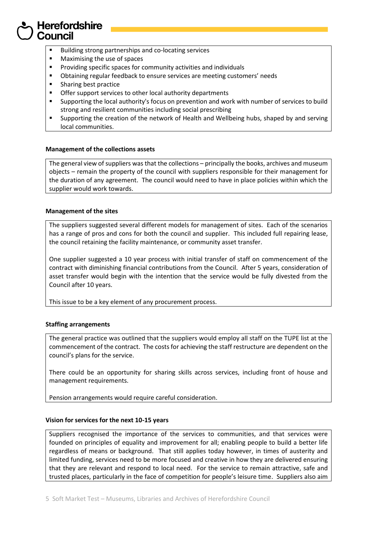- **Building strong partnerships and co-locating services**
- **Maximising the use of spaces**
- Providing specific spaces for community activities and individuals
- **•** Obtaining regular feedback to ensure services are meeting customers' needs
- **Sharing best practice**
- Offer support services to other local authority departments
- Supporting the local authority's focus on prevention and work with number of services to build strong and resilient communities including social prescribing
- Supporting the creation of the network of Health and Wellbeing hubs, shaped by and serving local communities.

### **Management of the collections assets**

The general view of suppliers was that the collections – principally the books, archives and museum objects – remain the property of the council with suppliers responsible for their management for the duration of any agreement. The council would need to have in place policies within which the supplier would work towards.

### **Management of the sites**

The suppliers suggested several different models for management of sites. Each of the scenarios has a range of pros and cons for both the council and supplier. This included full repairing lease, the council retaining the facility maintenance, or community asset transfer.

One supplier suggested a 10 year process with initial transfer of staff on commencement of the contract with diminishing financial contributions from the Council. After 5 years, consideration of asset transfer would begin with the intention that the service would be fully divested from the Council after 10 years.

This issue to be a key element of any procurement process.

## **Staffing arrangements**

The general practice was outlined that the suppliers would employ all staff on the TUPE list at the commencement of the contract. The costs for achieving the staff restructure are dependent on the council's plans for the service.

There could be an opportunity for sharing skills across services, including front of house and management requirements.

Pension arrangements would require careful consideration.

### **Vision for services for the next 10-15 years**

Suppliers recognised the importance of the services to communities, and that services were founded on principles of equality and improvement for all; enabling people to build a better life regardless of means or background. That still applies today however, in times of austerity and limited funding, services need to be more focused and creative in how they are delivered ensuring that they are relevant and respond to local need. For the service to remain attractive, safe and trusted places, particularly in the face of competition for people's leisure time. Suppliers also aim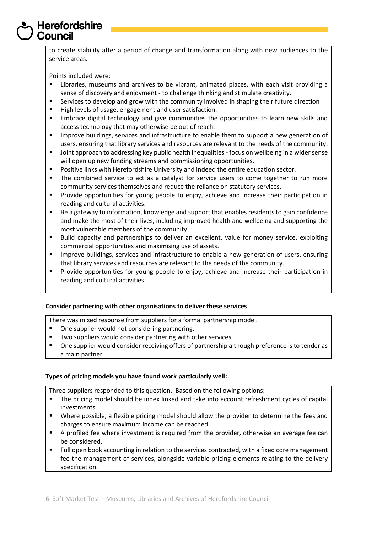to create stability after a period of change and transformation along with new audiences to the service areas.

Points included were:

- Libraries, museums and archives to be vibrant, animated places, with each visit providing a sense of discovery and enjoyment - to challenge thinking and stimulate creativity.
- Services to develop and grow with the community involved in shaping their future direction
- High levels of usage, engagement and user satisfaction.
- Embrace digital technology and give communities the opportunities to learn new skills and access technology that may otherwise be out of reach.
- Improve buildings, services and infrastructure to enable them to support a new generation of users, ensuring that library services and resources are relevant to the needs of the community.
- Joint approach to addressing key public health inequalities focus on wellbeing in a wider sense will open up new funding streams and commissioning opportunities.
- Positive links with Herefordshire University and indeed the entire education sector.
- The combined service to act as a catalyst for service users to come together to run more community services themselves and reduce the reliance on statutory services.
- **Provide opportunities for young people to enjoy, achieve and increase their participation in** reading and cultural activities.
- Be a gateway to information, knowledge and support that enables residents to gain confidence and make the most of their lives, including improved health and wellbeing and supporting the most vulnerable members of the community.
- Build capacity and partnerships to deliver an excellent, value for money service, exploiting commercial opportunities and maximising use of assets.
- **IMPROVE Buildings, services and infrastructure to enable a new generation of users, ensuring** that library services and resources are relevant to the needs of the community.
- Provide opportunities for young people to enjoy, achieve and increase their participation in reading and cultural activities.

## **Consider partnering with other organisations to deliver these services**

There was mixed response from suppliers for a formal partnership model.

- One supplier would not considering partnering.
- **TWO suppliers would consider partnering with other services.**
- One supplier would consider receiving offers of partnership although preference is to tender as a main partner.

## **Types of pricing models you have found work particularly well:**

Three suppliers responded to this question. Based on the following options:

- The pricing model should be index linked and take into account refreshment cycles of capital investments.
- Where possible, a flexible pricing model should allow the provider to determine the fees and charges to ensure maximum income can be reached.
- A profiled fee where investment is required from the provider, otherwise an average fee can be considered.
- Full open book accounting in relation to the services contracted, with a fixed core management fee the management of services, alongside variable pricing elements relating to the delivery specification.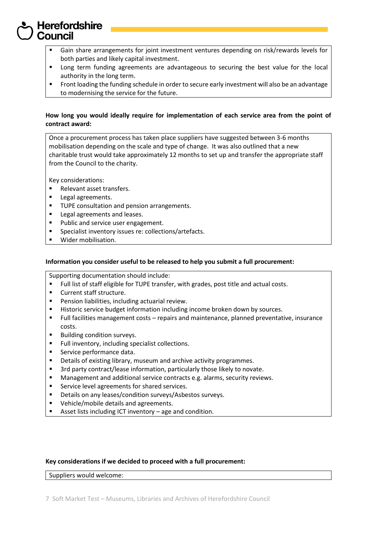- Gain share arrangements for joint investment ventures depending on risk/rewards levels for both parties and likely capital investment.
- **EXECT** Long term funding agreements are advantageous to securing the best value for the local authority in the long term.
- **Front loading the funding schedule in order to secure early investment will also be an advantage** to modernising the service for the future.

## **How long you would ideally require for implementation of each service area from the point of contract award:**

Once a procurement process has taken place suppliers have suggested between 3-6 months mobilisation depending on the scale and type of change. It was also outlined that a new charitable trust would take approximately 12 months to set up and transfer the appropriate staff from the Council to the charity.

Key considerations:

- Relevant asset transfers.
- **Legal agreements.**
- **TUPE consultation and pension arrangements.**
- **Legal agreements and leases.**
- Public and service user engagement.
- **Specialist inventory issues re: collections/artefacts.**
- Wider mobilisation.

### **Information you consider useful to be released to help you submit a full procurement:**

Supporting documentation should include:

- Full list of staff eligible for TUPE transfer, with grades, post title and actual costs.
- **Current staff structure.**
- Pension liabilities, including actuarial review.
- **Historic service budget information including income broken down by sources.**
- Full facilities management costs repairs and maintenance, planned preventative, insurance costs.
- **Building condition surveys.**
- Full inventory, including specialist collections.
- Service performance data.
- **Details of existing library, museum and archive activity programmes.**
- 3rd party contract/lease information, particularly those likely to novate.
- Management and additional service contracts e.g. alarms, security reviews.
- **Service level agreements for shared services.**
- **•** Details on any leases/condition surveys/Asbestos surveys.
- Vehicle/mobile details and agreements.
- Asset lists including ICT inventory age and condition.

### **Key considerations if we decided to proceed with a full procurement:**

Suppliers would welcome: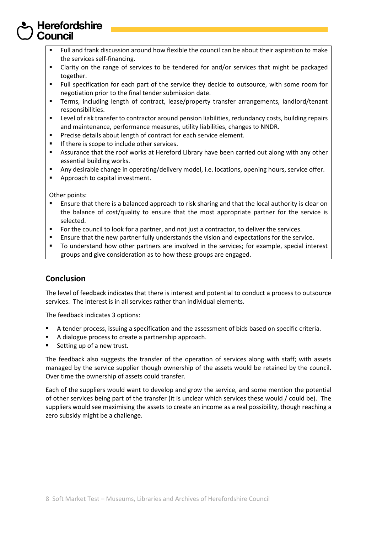- Full and frank discussion around how flexible the council can be about their aspiration to make the services self-financing.
- Clarity on the range of services to be tendered for and/or services that might be packaged together.
- Full specification for each part of the service they decide to outsource, with some room for negotiation prior to the final tender submission date.
- Terms, including length of contract, lease/property transfer arrangements, landlord/tenant responsibilities.
- Level of risk transfer to contractor around pension liabilities, redundancy costs, building repairs and maintenance, performance measures, utility liabilities, changes to NNDR.
- Precise details about length of contract for each service element.
- **If there is scope to include other services.**
- Assurance that the roof works at Hereford Library have been carried out along with any other essential building works.
- Any desirable change in operating/delivery model, i.e. locations, opening hours, service offer.
- Approach to capital investment.

Other points:

- Ensure that there is a balanced approach to risk sharing and that the local authority is clear on the balance of cost/quality to ensure that the most appropriate partner for the service is selected.
- For the council to look for a partner, and not just a contractor, to deliver the services.
- Ensure that the new partner fully understands the vision and expectations for the service.
- To understand how other partners are involved in the services; for example, special interest groups and give consideration as to how these groups are engaged.

## **Conclusion**

The level of feedback indicates that there is interest and potential to conduct a process to outsource services. The interest is in all services rather than individual elements.

The feedback indicates 3 options:

- A tender process, issuing a specification and the assessment of bids based on specific criteria.
- A dialogue process to create a partnership approach.
- Setting up of a new trust.

The feedback also suggests the transfer of the operation of services along with staff; with assets managed by the service supplier though ownership of the assets would be retained by the council. Over time the ownership of assets could transfer.

Each of the suppliers would want to develop and grow the service, and some mention the potential of other services being part of the transfer (it is unclear which services these would / could be). The suppliers would see maximising the assets to create an income as a real possibility, though reaching a zero subsidy might be a challenge.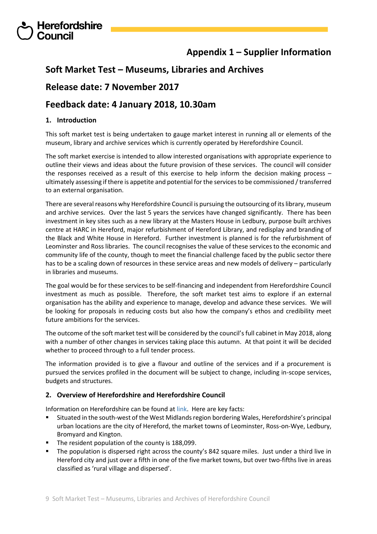## **Appendix 1 – Supplier Information**

## **Soft Market Test – Museums, Libraries and Archives**

## **Release date: 7 November 2017**

## **Feedback date: 4 January 2018, 10.30am**

## **1. Introduction**

Herefordshire

This soft market test is being undertaken to gauge market interest in running all or elements of the museum, library and archive services which is currently operated by Herefordshire Council.

The soft market exercise is intended to allow interested organisations with appropriate experience to outline their views and ideas about the future provision of these services. The council will consider the responses received as a result of this exercise to help inform the decision making process – ultimately assessing if there is appetite and potential for the services to be commissioned / transferred to an external organisation.

There are several reasons why Herefordshire Council is pursuing the outsourcing of its library, museum and archive services. Over the last 5 years the services have changed significantly. There has been investment in key sites such as a new library at the Masters House in Ledbury, purpose built archives centre at HARC in Hereford, major refurbishment of Hereford Library, and redisplay and branding of the Black and White House in Hereford. Further investment is planned is for the refurbishment of Leominster and Ross libraries. The council recognises the value of these servicesto the economic and community life of the county, though to meet the financial challenge faced by the public sector there has to be a scaling down of resources in these service areas and new models of delivery – particularly in libraries and museums.

The goal would be for these services to be self-financing and independent from Herefordshire Council investment as much as possible. Therefore, the soft market test aims to explore if an external organisation has the ability and experience to manage, develop and advance these services. We will be looking for proposals in reducing costs but also how the company's ethos and credibility meet future ambitions for the services.

The outcome of the soft market test will be considered by the council's full cabinet in May 2018, along with a number of other changes in services taking place this autumn. At that point it will be decided whether to proceed through to a full tender process.

The information provided is to give a flavour and outline of the services and if a procurement is pursued the services profiled in the document will be subject to change, including in-scope services, budgets and structures.

## **2. Overview of Herefordshire and Herefordshire Council**

Information on Herefordshire can be found at [link.](file:///C:/Users/nsilver/Desktop/www.factsandfigures.herefordshire.gov.uk) Here are key facts:

- Situated in the south-west of the West Midlands region bordering Wales, Herefordshire's principal urban locations are the city of Hereford, the market towns of Leominster, Ross-on-Wye, Ledbury, Bromyard and Kington.
- The resident population of the county is 188,099.
- The population is dispersed right across the county's 842 square miles. Just under a third live in Hereford city and just over a fifth in one of the five market towns, but over two-fifths live in areas classified as 'rural village and dispersed'.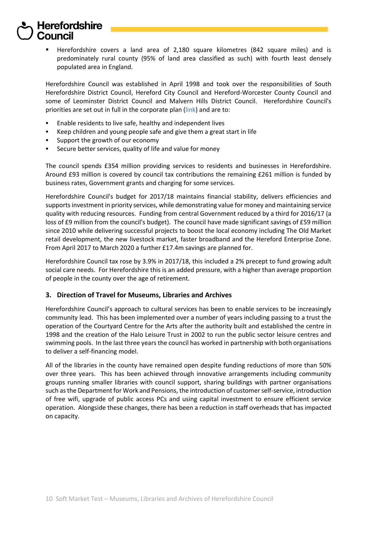Herefordshire covers a land area of 2,180 square kilometres (842 square miles) and is predominately rural county (95% of land area classified as such) with fourth least densely populated area in England.

Herefordshire Council was established in April 1998 and took over the responsibilities of South Herefordshire District Council, Hereford City Council and Hereford-Worcester County Council and some of Leominster District Council and Malvern Hills District Council. Herefordshire Council's priorities are set out in full in the [corporate plan](http://www.herefordshire.gov.uk/downloads/download/65/corporate_plan_and_corporate_delivery_plan) [\(link\)](https://www.herefordshire.gov.uk/info/200148/your_council/557/about_herefordshire_council/6) and are to:

- Enable residents to live safe, healthy and independent lives
- Keep children and young people safe and give them a great start in life
- Support the growth of our economy
- Secure better services, quality of life and value for money

The council spends £354 million providing services to residents and businesses in Herefordshire. Around £93 million is covered by council tax contributions the remaining £261 million is funded by business rates, Government grants and charging for some services.

Herefordshire Council's budget for 2017/18 maintains financial stability, delivers efficiencies and supports investment in priority services, while demonstrating value for money and maintaining service quality with reducing resources. Funding from central Government reduced by a third for 2016/17 (a loss of £9 million from the council's budget). The council have made significant savings of £59 million since 2010 while delivering successful projects to boost the local economy including The Old Market retail development, the new livestock market, faster broadband and the Hereford Enterprise Zone. From April 2017 to March 2020 a further £17.4m savings are planned for.

Herefordshire Council tax rose by 3.9% in 2017/18, this included a 2% precept to fund growing adult social care needs. For Herefordshire this is an added pressure, with a higher than average proportion of people in the county over the age of retirement.

## **3. Direction of Travel for Museums, Libraries and Archives**

Herefordshire Council's approach to cultural services has been to enable services to be increasingly community lead. This has been implemented over a number of years including passing to a trust the operation of the Courtyard Centre for the Arts after the authority built and established the centre in 1998 and the creation of the Halo Leisure Trust in 2002 to run the public sector leisure centres and swimming pools. In the last three years the council has worked in partnership with both organisations to deliver a self-financing model.

All of the libraries in the county have remained open despite funding reductions of more than 50% over three years. This has been achieved through innovative arrangements including community groups running smaller libraries with council support, sharing buildings with partner organisations such as the Department for Work and Pensions, the introduction of customer self-service, introduction of free wifi, upgrade of public access PCs and using capital investment to ensure efficient service operation. Alongside these changes, there has been a reduction in staff overheads that has impacted on capacity.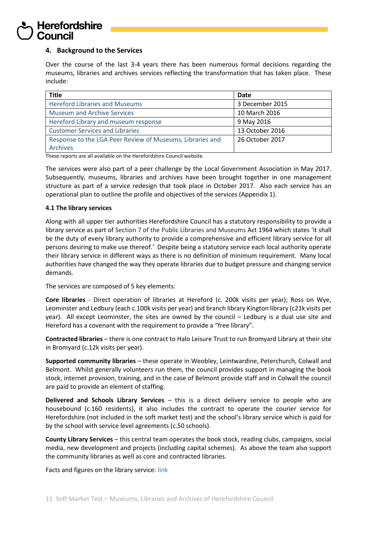## **4. Background to the Services**

Over the course of the last 3-4 years there has been numerous formal decisions regarding the museums, libraries and archives services reflecting the transformation that has taken place. These include:

| <b>Title</b>                                              | Date            |
|-----------------------------------------------------------|-----------------|
| <b>Hereford Libraries and Museums</b>                     | 3 December 2015 |
| <b>Museum and Archive Services</b>                        | 10 March 2016   |
| Hereford Library and museum response                      | 9 May 2016      |
| <b>Customer Services and Libraries</b>                    | 13 October 2016 |
| Response to the LGA Peer Review of Museums, Libraries and | 26 October 2017 |
| <b>Archives</b>                                           |                 |

These reports are all available on the Herefordshire Council website.

The services were also part of a peer challenge by the Local Government Association in May 2017. Subsequently, museums, libraries and archives have been brought together in one management structure as part of a service redesign that took place in October 2017. Also each service has an operational plan to outline the profile and objectives of the services (Appendix 1).

### **4.1 The library services**

Along with all upper tier authorities Herefordshire Council has a statutory responsibility to provide a library service as part of Section 7 of the Public Libraries and Museums Act 1964 which states 'it shall be the duty of every library authority to provide a comprehensive and efficient library service for all persons desiring to make use thereof.' Despite being a statutory service each local authority operate their library service in different ways as there is no definition of minimum requirement. Many local authorities have changed the way they operate libraries due to budget pressure and changing service demands.

The services are composed of 5 key elements:

**Core libraries** - Direct operation of libraries at Hereford (c. 200k visits per year); Ross on Wye, Leominster and Ledbury (each c.100k visits per year) and branch library Kington library (c21k visits per year). All except Leominster, the sites are owned by the council – Ledbury is a dual use site and Hereford has a covenant with the requirement to provide a "free library".

**Contracted libraries** – there is one contract to Halo Leisure Trust to run Bromyard Library at their site in Bromyard (c.12k visits per year).

**Supported community libraries** – these operate in Weobley, Leintwardine, Peterchurch, Colwall and Belmont. Whilst generally volunteers run them, the council provides support in managing the book stock, internet provision, training, and in the case of Belmont provide staff and in Colwall the council are paid to provide an element of staffing.

**Delivered and Schools Library Services** – this is a direct delivery service to people who are housebound (c.160 residents), it also includes the contract to operate the courier service for Herefordshire (not included in the soft market test) and the school's library service which is paid for by the school with service level agreements (c.50 schools).

**County Library Services** – this central team operates the book stock, reading clubs, campaigns, social media, new development and projects (including capital schemes). As above the team also support the community libraries as well as core and contracted libraries.

Facts and figures on the library service: [link](https://myaccount.herefordshire.gov.uk/media/5043398/herefordshire-libraries-and-market-town-overview-facts-and-figures-201.pdf)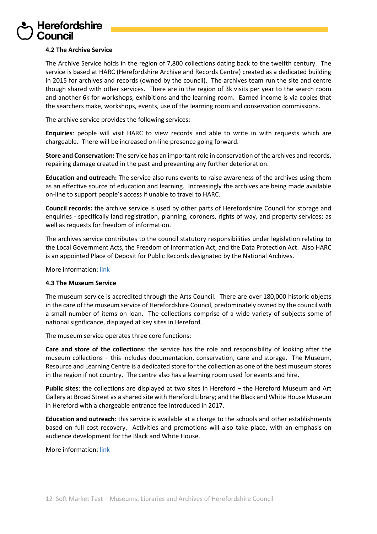## **4.2 The Archive Service**

The Archive Service holds in the region of 7,800 collections dating back to the twelfth century. The service is based at HARC (Herefordshire Archive and Records Centre) created as a dedicated building in 2015 for archives and records (owned by the council). The archives team run the site and centre though shared with other services. There are in the region of 3k visits per year to the search room and another 6k for workshops, exhibitions and the learning room. Earned income is via copies that the searchers make, workshops, events, use of the learning room and conservation commissions.

The archive service provides the following services:

**Enquiries**: people will visit HARC to view records and able to write in with requests which are chargeable. There will be increased on-line presence going forward.

**Store and Conservation:** The service has an important role in conservation of the archives and records, repairing damage created in the past and preventing any further deterioration.

**Education and outreach:** The service also runs events to raise awareness of the archives using them as an effective source of education and learning. Increasingly the archives are being made available on-line to support people's access if unable to travel to HARC.

**Council records:** the archive service is used by other parts of Herefordshire Council for storage and enquiries - specifically land registration, planning, coroners, rights of way, and property services; as well as requests for freedom of information.

The archives service contributes to the council statutory responsibilities under legislation relating to the Local Government Acts, the Freedom of Information Act, and the Data Protection Act. Also HARC is an appointed Place of Deposit for Public Records designated by the National Archives.

More information[: link](https://www.herefordshire.gov.uk/info/200164/archives)

### **4.3 The Museum Service**

The museum service is accredited through the Arts Council. There are over 180,000 historic objects in the care of the museum service of Herefordshire Council, predominately owned by the council with a small number of items on loan. The collections comprise of a wide variety of subjects some of national significance, displayed at key sites in Hereford.

The museum service operates three core functions:

**Care and store of the collections**: the service has the role and responsibility of looking after the museum collections – this includes documentation, conservation, care and storage. The Museum, Resource and Learning Centre is a dedicated store for the collection as one of the best museum stores in the region if not country. The centre also has a learning room used for events and hire.

**Public sites**: the collections are displayed at two sites in Hereford – the Hereford Museum and Art Gallery at Broad Street as a shared site with Hereford Library; and the Black and White House Museum in Hereford with a chargeable entrance fee introduced in 2017.

**Education and outreach**: this service is available at a charge to the schools and other establishments based on full cost recovery. Activities and promotions will also take place, with an emphasis on audience development for the Black and White House.

More information[: link](https://www.herefordshire.gov.uk/info/200172/museums/667/museum_services)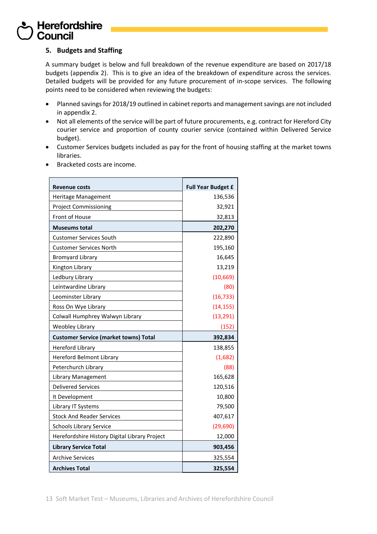## **5. Budgets and Staffing**

A summary budget is below and full breakdown of the revenue expenditure are based on 2017/18 budgets (appendix 2). This is to give an idea of the breakdown of expenditure across the services. Detailed budgets will be provided for any future procurement of in-scope services. The following points need to be considered when reviewing the budgets:

- Planned savings for 2018/19 outlined in cabinet reports and management savings are not included in appendix 2.
- Not all elements of the service will be part of future procurements, e.g. contract for Hereford City courier service and proportion of county courier service (contained within Delivered Service budget).
- Customer Services budgets included as pay for the front of housing staffing at the market towns libraries.
- Bracketed costs are income.

| Revenue costs                                 | <b>Full Year Budget £</b> |
|-----------------------------------------------|---------------------------|
| Heritage Management                           | 136,536                   |
| <b>Project Commissioning</b>                  | 32,921                    |
| Front of House                                | 32,813                    |
| <b>Museums total</b>                          | 202,270                   |
| <b>Customer Services South</b>                | 222,890                   |
| <b>Customer Services North</b>                | 195,160                   |
| <b>Bromyard Library</b>                       | 16,645                    |
| Kington Library                               | 13,219                    |
| Ledbury Library                               | (10, 669)                 |
| Leintwardine Library                          | (80)                      |
| Leominster Library                            | (16, 733)                 |
| Ross On Wye Library                           | (14, 155)                 |
| Colwall Humphrey Walwyn Library               | (13, 291)                 |
| <b>Weobley Library</b>                        | (152)                     |
| <b>Customer Service (market towns) Total</b>  | 392,834                   |
| <b>Hereford Library</b>                       | 138,855                   |
| <b>Hereford Belmont Library</b>               | (1,682)                   |
| Peterchurch Library                           | (88)                      |
| Library Management                            | 165,628                   |
| <b>Delivered Services</b>                     | 120,516                   |
| It Development                                | 10,800                    |
| Library IT Systems                            | 79,500                    |
| <b>Stock And Reader Services</b>              | 407,617                   |
| <b>Schools Library Service</b>                | (29, 690)                 |
| Herefordshire History Digital Library Project | 12,000                    |
| <b>Library Service Total</b>                  | 903,456                   |
| <b>Archive Services</b>                       | 325,554                   |
| <b>Archives Total</b>                         | 325,554                   |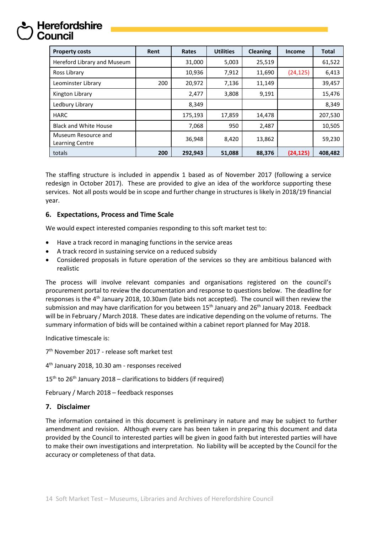| <b>Property costs</b>                  | Rent | Rates   | <b>Utilities</b> | <b>Cleaning</b> | <b>Income</b> | <b>Total</b> |
|----------------------------------------|------|---------|------------------|-----------------|---------------|--------------|
| Hereford Library and Museum            |      | 31,000  | 5,003            | 25,519          |               | 61,522       |
| Ross Library                           |      | 10,936  | 7,912            | 11,690          | (24, 125)     | 6,413        |
| Leominster Library                     | 200  | 20,972  | 7,136            | 11,149          |               | 39,457       |
| Kington Library                        |      | 2,477   | 3,808            | 9,191           |               | 15,476       |
| Ledbury Library                        |      | 8,349   |                  |                 |               | 8,349        |
| <b>HARC</b>                            |      | 175,193 | 17,859           | 14,478          |               | 207,530      |
| <b>Black and White House</b>           |      | 7,068   | 950              | 2,487           |               | 10,505       |
| Museum Resource and<br>Learning Centre |      | 36,948  | 8,420            | 13,862          |               | 59,230       |
| totals                                 | 200  | 292.943 | 51,088           | 88,376          | (24, 125)     | 408,482      |

The staffing structure is included in appendix 1 based as of November 2017 (following a service redesign in October 2017). These are provided to give an idea of the workforce supporting these services. Not all posts would be in scope and further change in structures is likely in 2018/19 financial year.

## **6. Expectations, Process and Time Scale**

We would expect interested companies responding to this soft market test to:

- Have a track record in managing functions in the service areas
- A track record in sustaining service on a reduced subsidy
- Considered proposals in future operation of the services so they are ambitious balanced with realistic

The process will involve relevant companies and organisations registered on the council's procurement portal to review the documentation and response to questions below. The deadline for responses is the 4th January 2018, 10.30am (late bids not accepted). The council will then review the submission and may have clarification for you between  $15<sup>th</sup>$  January and  $26<sup>th</sup>$  January 2018. Feedback will be in February / March 2018. These dates are indicative depending on the volume of returns. The summary information of bids will be contained within a cabinet report planned for May 2018.

Indicative timescale is:

7<sup>th</sup> November 2017 - release soft market test

4 th January 2018, 10.30 am - responses received

 $15<sup>th</sup>$  to 26<sup>th</sup> January 2018 – clarifications to bidders (if required)

February / March 2018 – feedback responses

## **7. Disclaimer**

The information contained in this document is preliminary in nature and may be subject to further amendment and revision. Although every care has been taken in preparing this document and data provided by the Council to interested parties will be given in good faith but interested parties will have to make their own investigations and interpretation. No liability will be accepted by the Council for the accuracy or completeness of that data.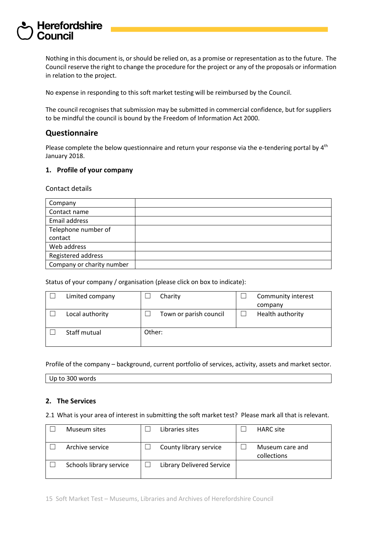Nothing in this document is, or should be relied on, as a promise or representation as to the future. The Council reserve the right to change the procedure for the project or any of the proposals or information in relation to the project.

No expense in responding to this soft market testing will be reimbursed by the Council.

The council recognises that submission may be submitted in commercial confidence, but for suppliers to be mindful the council is bound by the Freedom of Information Act 2000.

## **Questionnaire**

Please complete the below questionnaire and return your response via the e-tendering portal by 4<sup>th</sup> January 2018.

## **1. Profile of your company**

Contact details

| Company                   |  |
|---------------------------|--|
| Contact name              |  |
| Email address             |  |
| Telephone number of       |  |
| contact                   |  |
| Web address               |  |
| Registered address        |  |
| Company or charity number |  |

Status of your company / organisation (please click on box to indicate):

| Limited company |        | Charity                | Community interest |
|-----------------|--------|------------------------|--------------------|
|                 |        |                        | company            |
| Local authority |        | Town or parish council | Health authority   |
| Staff mutual    | Other: |                        |                    |

Profile of the company – background, current portfolio of services, activity, assets and market sector.

Up to 300 words

## **2. The Services**

2.1 What is your area of interest in submitting the soft market test? Please mark all that is relevant.

| Museum sites            | Libraries sites           | <b>HARC</b> site               |
|-------------------------|---------------------------|--------------------------------|
| Archive service         | County library service    | Museum care and<br>collections |
| Schools library service | Library Delivered Service |                                |

15 Soft Market Test – Museums, Libraries and Archives of Herefordshire Council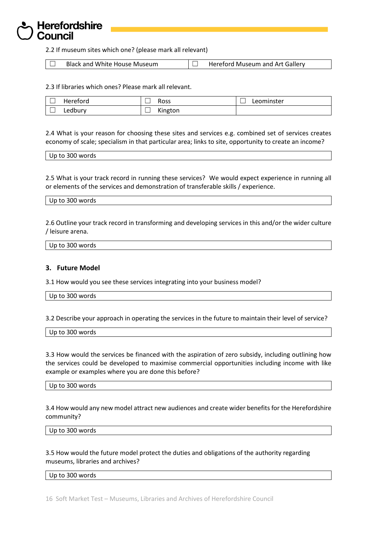2.2 If museum sites which one? (please mark all relevant)

 $\Box$  Black and White House Museum  $\Box$  Hereford Museum and Art Gallery

2.3 If libraries which ones? Please mark all relevant.

| Hereford | Ross    | Leominster |
|----------|---------|------------|
| ∟edbury  | Kington |            |

2.4 What is your reason for choosing these sites and services e.g. combined set of services creates economy of scale; specialism in that particular area; links to site, opportunity to create an income?

| Up to 300 words |
|-----------------|
|-----------------|

2.5 What is your track record in running these services? We would expect experience in running all or elements of the services and demonstration of transferable skills / experience.

#### Up to 300 words

2.6 Outline your track record in transforming and developing services in this and/or the wider culture / leisure arena.

| Up to 300 words |  |  |
|-----------------|--|--|

### **3. Future Model**

3.1 How would you see these services integrating into your business model?

Up to 300 words

3.2 Describe your approach in operating the services in the future to maintain their level of service?

| $'$ Jp to 300 $\sqrt$<br>مامين مرين<br>J words<br>— U ⊾ |  |  |
|---------------------------------------------------------|--|--|
|                                                         |  |  |

3.3 How would the services be financed with the aspiration of zero subsidy, including outlining how the services could be developed to maximise commercial opportunities including income with like example or examples where you are done this before?

Up to 300 words

3.4 How would any new model attract new audiences and create wider benefits for the Herefordshire community?

Up to 300 words

3.5 How would the future model protect the duties and obligations of the authority regarding museums, libraries and archives?

Up to 300 words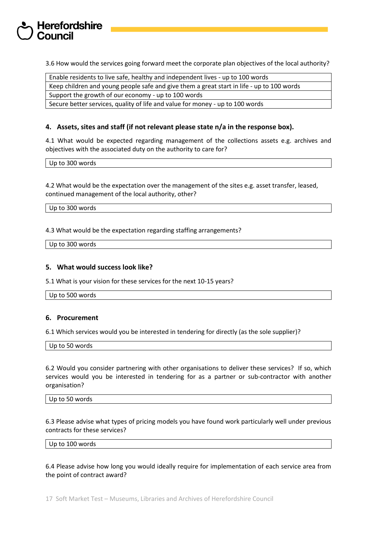3.6 How would the services going forward meet the corporate plan objectives of the local authority?

Enable residents to live safe, healthy and independent lives - up to 100 words Keep children and young people safe and give them a great start in life - up to 100 words

Support the growth of our economy - up to 100 words

Secure better services, quality of life and value for money - up to 100 words

## **4. Assets, sites and staff (if not relevant please state n/a in the response box).**

4.1 What would be expected regarding management of the collections assets e.g. archives and objectives with the associated duty on the authority to care for?

Up to 300 words

4.2 What would be the expectation over the management of the sites e.g. asset transfer, leased, continued management of the local authority, other?

Up to 300 words

4.3 What would be the expectation regarding staffing arrangements?

Up to 300 words

### **5. What would success look like?**

5.1 What is your vision for these services for the next 10-15 years?

Up to 500 words

### **6. Procurement**

6.1 Which services would you be interested in tendering for directly (as the sole supplier)?

Up to 50 words

6.2 Would you consider partnering with other organisations to deliver these services? If so, which services would you be interested in tendering for as a partner or sub-contractor with another organisation?

Up to 50 words

6.3 Please advise what types of pricing models you have found work particularly well under previous contracts for these services?

Up to 100 words

6.4 Please advise how long you would ideally require for implementation of each service area from the point of contract award?